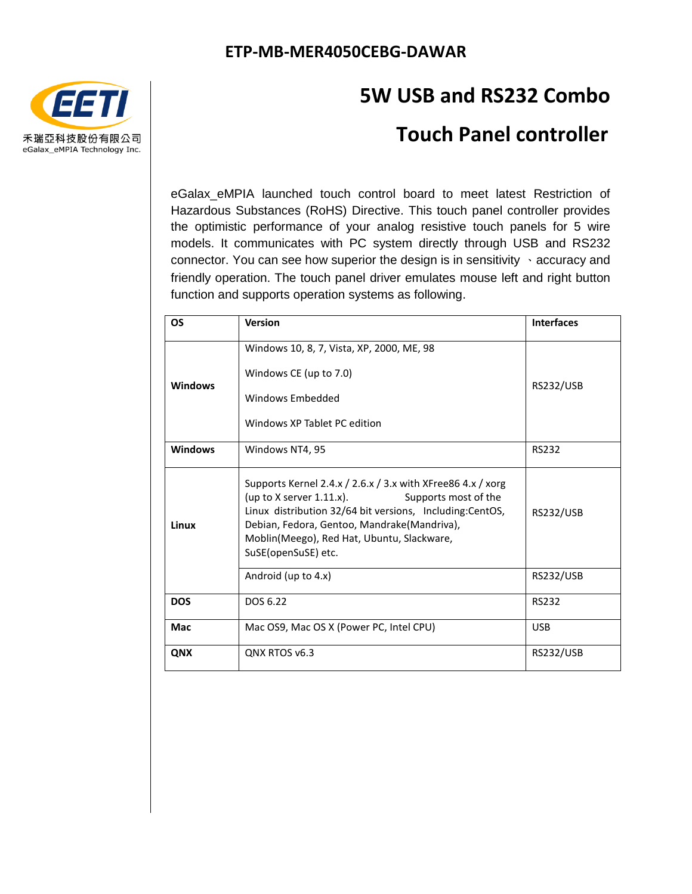

## **5W USB and RS232 Combo**

### **Touch Panel controller**

eGalax eMPIA launched touch control board to meet latest Restriction of Hazardous Substances (RoHS) Directive. This touch panel controller provides the optimistic performance of your analog resistive touch panels for 5 wire models. It communicates with PC system directly through USB and RS232 connector. You can see how superior the design is in sensitivity 、accuracy and friendly operation. The touch panel driver emulates mouse left and right button function and supports operation systems as following.

| OS             | <b>Version</b>                                                                                                                                                                                                                                                                                     | <b>Interfaces</b> |
|----------------|----------------------------------------------------------------------------------------------------------------------------------------------------------------------------------------------------------------------------------------------------------------------------------------------------|-------------------|
| <b>Windows</b> | Windows 10, 8, 7, Vista, XP, 2000, ME, 98<br>Windows CE (up to 7.0)<br>Windows Embedded<br>Windows XP Tablet PC edition                                                                                                                                                                            | <b>RS232/USB</b>  |
| <b>Windows</b> | Windows NT4, 95                                                                                                                                                                                                                                                                                    | <b>RS232</b>      |
| Linux          | Supports Kernel 2.4.x / 2.6.x / 3.x with XFree 86 4.x / xorg<br>(up to $X$ server 1.11.x).<br>Supports most of the<br>Linux distribution 32/64 bit versions, Including:CentOS,<br>Debian, Fedora, Gentoo, Mandrake(Mandriva),<br>Moblin(Meego), Red Hat, Ubuntu, Slackware,<br>SuSE(openSuSE) etc. | <b>RS232/USB</b>  |
|                | Android (up to 4.x)                                                                                                                                                                                                                                                                                | <b>RS232/USB</b>  |
| <b>DOS</b>     | DOS 6.22                                                                                                                                                                                                                                                                                           | <b>RS232</b>      |
| Mac            | Mac OS9, Mac OS X (Power PC, Intel CPU)                                                                                                                                                                                                                                                            | <b>USB</b>        |
| QNX            | QNX RTOS v6.3                                                                                                                                                                                                                                                                                      | <b>RS232/USB</b>  |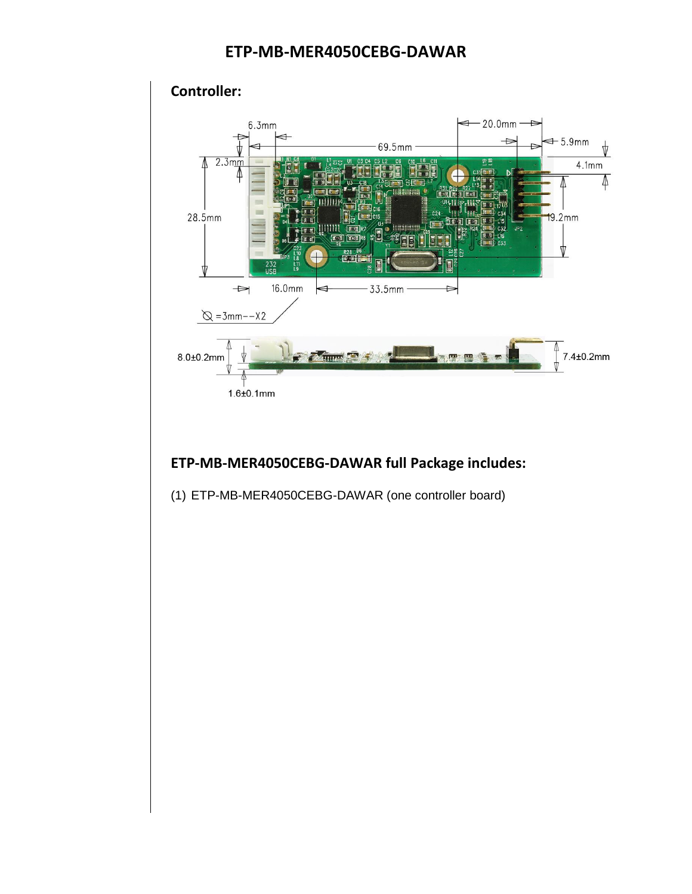### **ETP-MB-MER4050CEBG-DAWAR**



#### **ETP-MB-MER4050CEBG-DAWAR full Package includes:**

(1) ETP-MB-MER4050CEBG-DAWAR (one controller board)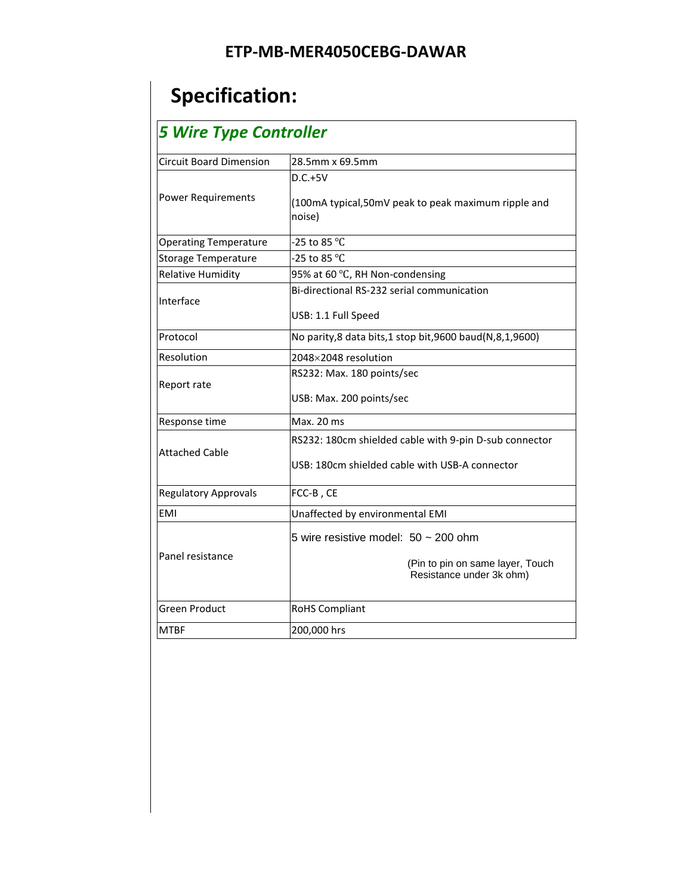# **Specification:**

## *5 Wire Type Controller*

| <b>Circuit Board Dimension</b> | 28.5mm x 69.5mm                                                                                           |  |  |
|--------------------------------|-----------------------------------------------------------------------------------------------------------|--|--|
| <b>Power Requirements</b>      | $D.C.+5V$<br>(100mA typical,50mV peak to peak maximum ripple and<br>noise)                                |  |  |
| <b>Operating Temperature</b>   | -25 to 85 °C                                                                                              |  |  |
| <b>Storage Temperature</b>     | -25 to 85 °C                                                                                              |  |  |
| <b>Relative Humidity</b>       | 95% at 60 °C, RH Non-condensing                                                                           |  |  |
| Interface                      | Bi-directional RS-232 serial communication<br>USB: 1.1 Full Speed                                         |  |  |
| Protocol                       | No parity,8 data bits,1 stop bit,9600 baud(N,8,1,9600)                                                    |  |  |
| Resolution                     | 2048×2048 resolution                                                                                      |  |  |
| Report rate                    | RS232: Max. 180 points/sec<br>USB: Max. 200 points/sec                                                    |  |  |
| Response time                  | Max. 20 ms                                                                                                |  |  |
| <b>Attached Cable</b>          | RS232: 180cm shielded cable with 9-pin D-sub connector<br>USB: 180cm shielded cable with USB-A connector  |  |  |
| <b>Regulatory Approvals</b>    | FCC-B, CE                                                                                                 |  |  |
| EMI                            | Unaffected by environmental EMI                                                                           |  |  |
| Panel resistance               | 5 wire resistive model: $50 \sim 200$ ohm<br>(Pin to pin on same layer, Touch<br>Resistance under 3k ohm) |  |  |
| <b>Green Product</b>           | <b>RoHS Compliant</b>                                                                                     |  |  |
| <b>MTBF</b>                    | 200,000 hrs                                                                                               |  |  |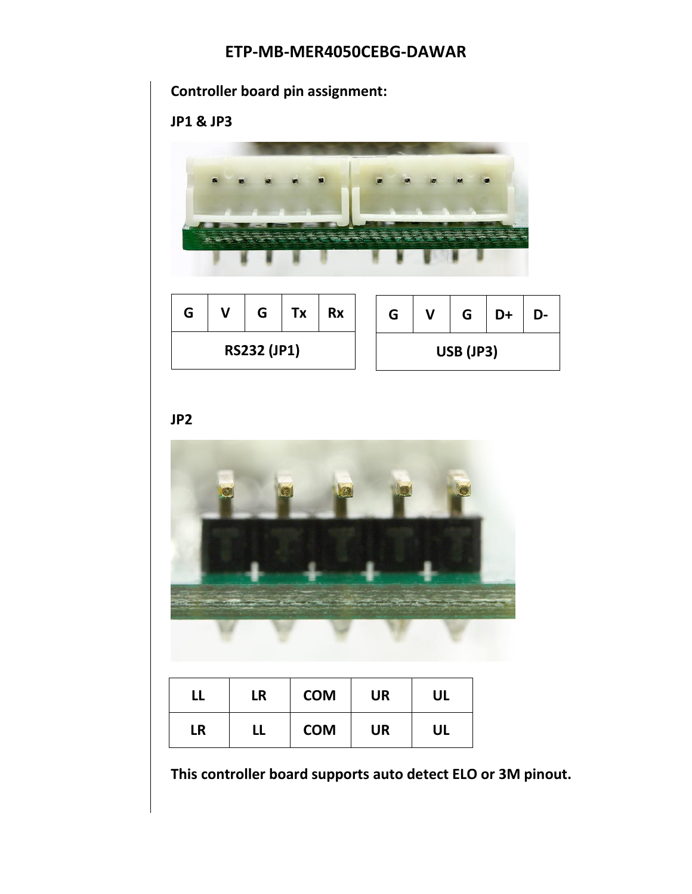### **ETP-MB-MER4050CEBG-DAWAR**



**JP2**



|           | LR | <b>COM</b> | <b>UR</b> | <b>UL</b> |
|-----------|----|------------|-----------|-----------|
| <b>LR</b> | LL | <b>COM</b> | <b>UR</b> | UL        |

**This controller board supports auto detect ELO or 3M pinout.**